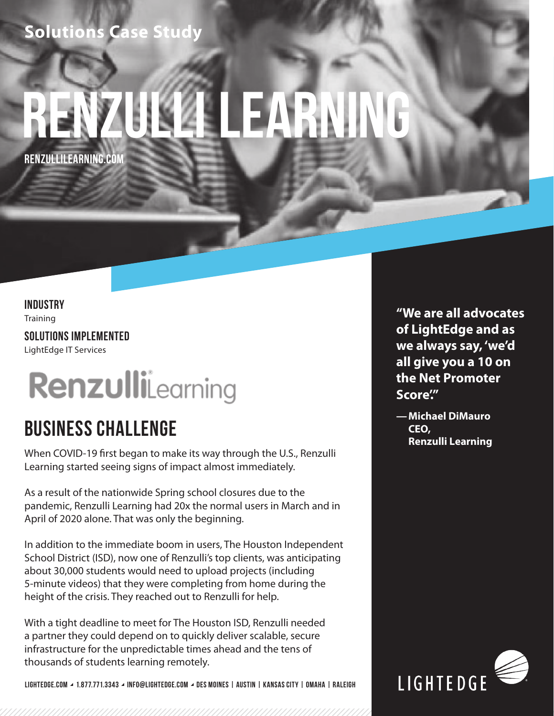## **Solutions Case Study**

# **Renzulli learning**

**RENZULLILEARNING.COM**

## **INDUSTRY Training SOLUTIONS IMPLEMENTED**

LightEdge IT Services

## RenzulliLearning

## **BUSINESS CHALLENGE**

When COVID-19 first began to make its way through the U.S., Renzulli Learning started seeing signs of impact almost immediately.

As a result of the nationwide Spring school closures due to the pandemic, Renzulli Learning had 20x the normal users in March and in April of 2020 alone. That was only the beginning.

In addition to the immediate boom in users, The Houston Independent School District (ISD), now one of Renzulli's top clients, was anticipating about 30,000 students would need to upload projects (including 5-minute videos) that they were completing from home during the height of the crisis. They reached out to Renzulli for help.

With a tight deadline to meet for The Houston ISD, Renzulli needed a partner they could depend on to quickly deliver scalable, secure infrastructure for the unpredictable times ahead and the tens of thousands of students learning remotely.

**LIGHTEDGE.COM 1.877.771.3343 INFO@LIGHTEDGE.COM DES MOINES | AUSTIN | KANSAS CITY | OMAHA | RALEIGH**

**"We are all advocates of LightEdge and as we always say, 'we'd all give you a 10 on the Net Promoter Score'."**

**—Michael DiMauro CEO, Renzulli Learning**